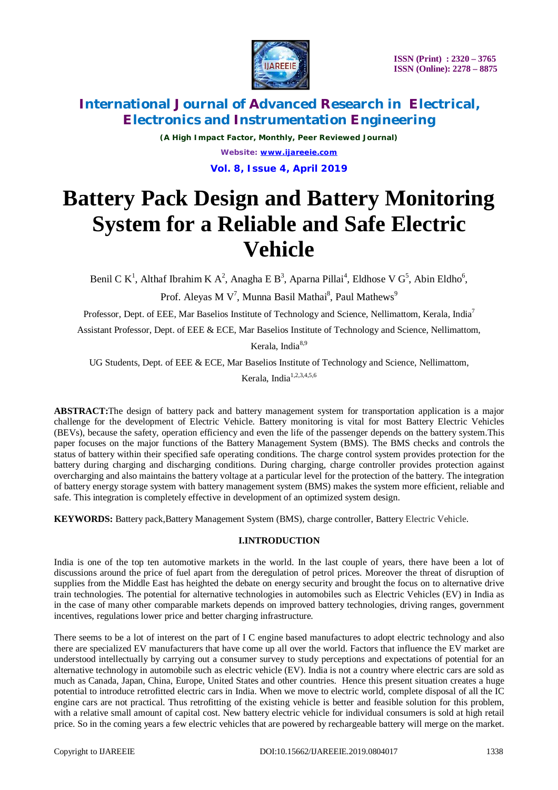

# **International Journal of Advanced Research in Electrical, Electronics and Instrumentation Engineering**

*(A High Impact Factor, Monthly, Peer Reviewed Journal) Website:* **[www.ijareeie.com](http://www.ijareeie.com) Vol. 8, Issue 4, April 2019**

# **Battery Pack Design and Battery Monitoring System for a Reliable and Safe Electric Vehicle**

Benil C K<sup>1</sup>, Althaf Ibrahim K A<sup>2</sup>, Anagha E B<sup>3</sup>, Aparna Pillai<sup>4</sup>, Eldhose V G<sup>5</sup>, Abin Eldho<sup>6</sup>, Prof. Aleyas M V<sup>7</sup>, Munna Basil Mathai $^8$ , Paul Mathews $^9$ 

Professor, Dept. of EEE, Mar Baselios Institute of Technology and Science, Nellimattom, Kerala, India<sup>7</sup>

Assistant Professor, Dept. of EEE & ECE, Mar Baselios Institute of Technology and Science, Nellimattom,

Kerala, India<sup>8,9</sup>

UG Students, Dept. of EEE & ECE, Mar Baselios Institute of Technology and Science, Nellimattom,

Kerala, India<sup>1,2,3,4,5,6</sup>

**ABSTRACT:**The design of battery pack and battery management system for transportation application is a major challenge for the development of Electric Vehicle. Battery monitoring is vital for most Battery Electric Vehicles (BEVs), because the safety, operation efficiency and even the life of the passenger depends on the battery system.This paper focuses on the major functions of the Battery Management System (BMS). The BMS checks and controls the status of battery within their specified safe operating conditions. The charge control system provides protection for the battery during charging and discharging conditions. During charging, charge controller provides protection against overcharging and also maintains the battery voltage at a particular level for the protection of the battery. The integration of battery energy storage system with battery management system (BMS) makes the system more efficient, reliable and safe. This integration is completely effective in development of an optimized system design.

**KEYWORDS:** Battery pack,Battery Management System (BMS), charge controller, Battery Electric Vehicle.

# **I.INTRODUCTION**

India is one of the top ten automotive markets in the world. In the last couple of years, there have been a lot of discussions around the price of fuel apart from the deregulation of petrol prices. Moreover the threat of disruption of supplies from the Middle East has heighted the debate on energy security and brought the focus on to alternative drive train technologies. The potential for alternative technologies in automobiles such as Electric Vehicles (EV) in India as in the case of many other comparable markets depends on improved battery technologies, driving ranges, government incentives, regulations lower price and better charging infrastructure.

There seems to be a lot of interest on the part of I C engine based manufactures to adopt electric technology and also there are specialized EV manufacturers that have come up all over the world. Factors that influence the EV market are understood intellectually by carrying out a consumer survey to study perceptions and expectations of potential for an alternative technology in automobile such as electric vehicle (EV). India is not a country where electric cars are sold as much as Canada, Japan, China, Europe, United States and other countries. Hence this present situation creates a huge potential to introduce retrofitted electric cars in India. When we move to electric world, complete disposal of all the IC engine cars are not practical. Thus retrofitting of the existing vehicle is better and feasible solution for this problem, with a relative small amount of capital cost. New battery electric vehicle for individual consumers is sold at high retail price. So in the coming years a few electric vehicles that are powered by rechargeable battery will merge on the market.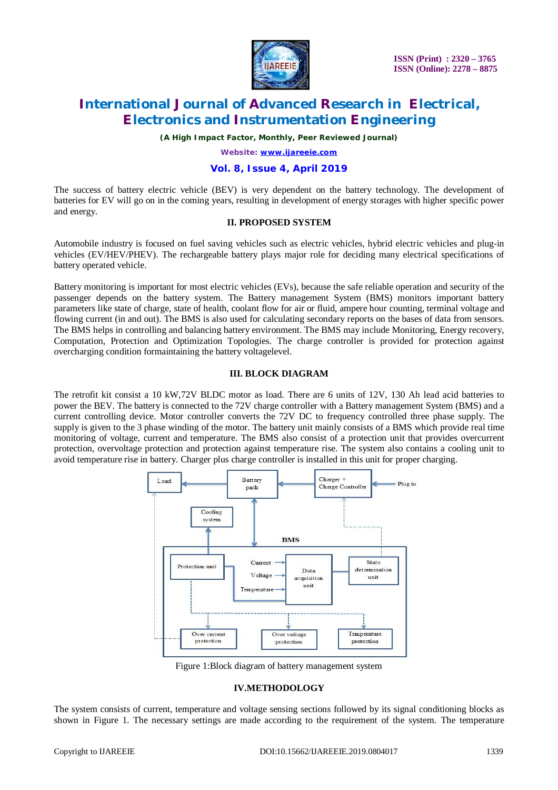

# **International Journal of Advanced Research in Electrical, Electronics and Instrumentation Engineering**

*(A High Impact Factor, Monthly, Peer Reviewed Journal)*

*Website:* **[www.ijareeie.com](http://www.ijareeie.com)**

### **Vol. 8, Issue 4, April 2019**

The success of battery electric vehicle (BEV) is very dependent on the battery technology. The development of batteries for EV will go on in the coming years, resulting in development of energy storages with higher specific power and energy.

#### **II. PROPOSED SYSTEM**

Automobile industry is focused on fuel saving vehicles such as electric vehicles, hybrid electric vehicles and plug-in vehicles (EV/HEV/PHEV). The rechargeable battery plays major role for deciding many electrical specifications of battery operated vehicle.

Battery monitoring is important for most electric vehicles (EVs), because the safe reliable operation and security of the passenger depends on the battery system. The Battery management System (BMS) monitors important battery parameters like state of charge, state of health, coolant flow for air or fluid, ampere hour counting, terminal voltage and flowing current (in and out). The BMS is also used for calculating secondary reports on the bases of data from sensors. The BMS helps in controlling and balancing battery environment. The BMS may include Monitoring, Energy recovery, Computation, Protection and Optimization Topologies. The charge controller is provided for protection against overcharging condition formaintaining the battery voltagelevel.

### **III. BLOCK DIAGRAM**

The retrofit kit consist a 10 kW,72V BLDC motor as load. There are 6 units of 12V, 130 Ah lead acid batteries to power the BEV. The battery is connected to the 72V charge controller with a Battery management System (BMS) and a current controlling device. Motor controller converts the 72V DC to frequency controlled three phase supply. The supply is given to the 3 phase winding of the motor. The battery unit mainly consists of a BMS which provide real time monitoring of voltage, current and temperature. The BMS also consist of a protection unit that provides overcurrent protection, overvoltage protection and protection against temperature rise. The system also contains a cooling unit to avoid temperature rise in battery. Charger plus charge controller is installed in this unit for proper charging.



Figure 1:Block diagram of battery management system

### **IV.METHODOLOGY**

The system consists of current, temperature and voltage sensing sections followed by its signal conditioning blocks as shown in Figure 1. The necessary settings are made according to the requirement of the system. The temperature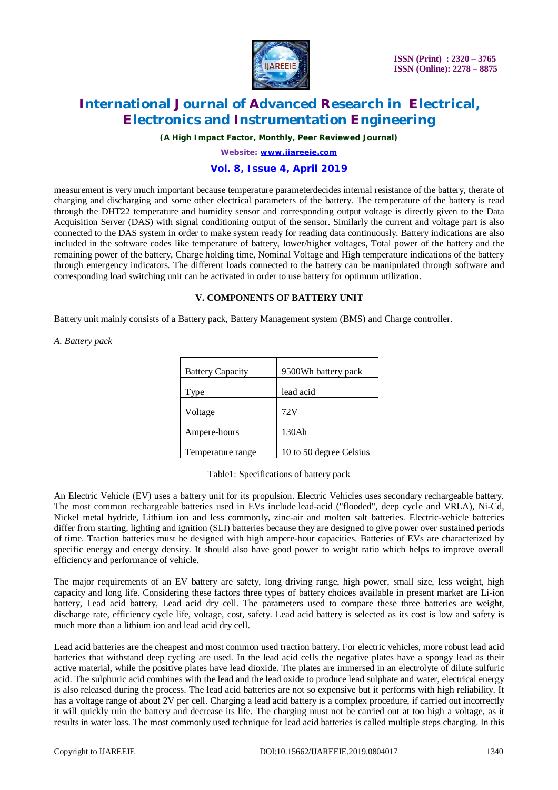

# **International Journal of Advanced Research in Electrical, Electronics and Instrumentation Engineering**

*(A High Impact Factor, Monthly, Peer Reviewed Journal)*

*Website:* **[www.ijareeie.com](http://www.ijareeie.com)**

## **Vol. 8, Issue 4, April 2019**

measurement is very much important because temperature parameterdecides internal resistance of the battery, therate of charging and discharging and some other electrical parameters of the battery. The temperature of the battery is read through the DHT22 temperature and humidity sensor and corresponding output voltage is directly given to the Data Acquisition Server (DAS) with signal conditioning output of the sensor. Similarly the current and voltage part is also connected to the DAS system in order to make system ready for reading data continuously. Battery indications are also included in the software codes like temperature of battery, lower/higher voltages, Total power of the battery and the remaining power of the battery, Charge holding time, Nominal Voltage and High temperature indications of the battery through emergency indicators. The different loads connected to the battery can be manipulated through software and corresponding load switching unit can be activated in order to use battery for optimum utilization.

### **V. COMPONENTS OF BATTERY UNIT**

Battery unit mainly consists of a Battery pack, Battery Management system (BMS) and Charge controller.

#### *A. Battery pack*

| <b>Battery Capacity</b> | 9500Wh battery pack     |
|-------------------------|-------------------------|
| Type                    | lead acid               |
| Voltage                 | 72V                     |
| Ampere-hours            | 130Ah                   |
| Temperature range       | 10 to 50 degree Celsius |

Table1: Specifications of battery pack

An Electric Vehicle (EV) uses a battery unit for its propulsion. Electric Vehicles uses secondary rechargeable battery. The most common rechargeable batteries used in EVs include lead-acid ("flooded", deep cycle and VRLA), Ni-Cd, Nickel metal hydride, Lithium ion and less commonly, zinc-air and molten salt batteries. Electric-vehicle batteries differ from starting, lighting and ignition (SLI) batteries because they are designed to give power over sustained periods of time. Traction batteries must be designed with high ampere-hour capacities. Batteries of EVs are characterized by specific energy and energy density. It should also have good power to weight ratio which helps to improve overall efficiency and performance of vehicle.

The major requirements of an EV battery are safety, long driving range, high power, small size, less weight, high capacity and long life. Considering these factors three types of battery choices available in present market are Li-ion battery, Lead acid battery, Lead acid dry cell. The parameters used to compare these three batteries are weight, discharge rate, efficiency cycle life, voltage, cost, safety. Lead acid battery is selected as its cost is low and safety is much more than a lithium ion and lead acid dry cell.

Lead acid batteries are the cheapest and most common used traction battery. For electric vehicles, more robust lead acid batteries that withstand deep cycling are used. In the lead acid cells the negative plates have a spongy lead as their active material, while the positive plates have lead dioxide. The plates are immersed in an electrolyte of dilute sulfuric acid. The sulphuric acid combines with the lead and the lead oxide to produce lead sulphate and water, electrical energy is also released during the process. The lead acid batteries are not so expensive but it performs with high reliability. It has a voltage range of about 2V per cell. Charging a lead acid battery is a complex procedure, if carried out incorrectly it will quickly ruin the battery and decrease its life. The charging must not be carried out at too high a voltage, as it results in water loss. The most commonly used technique for lead acid batteries is called multiple steps charging. In this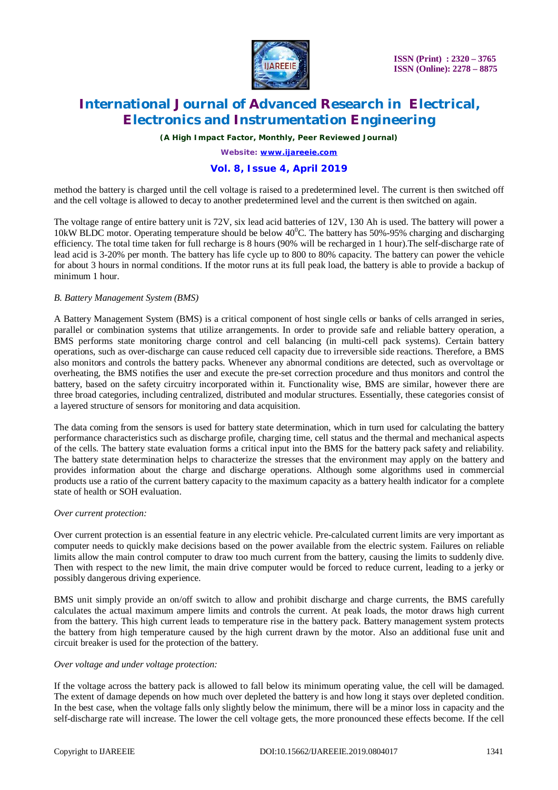

# **International Journal of Advanced Research in Electrical, Electronics and Instrumentation Engineering**

*(A High Impact Factor, Monthly, Peer Reviewed Journal)*

*Website:* **[www.ijareeie.com](http://www.ijareeie.com)**

# **Vol. 8, Issue 4, April 2019**

method the battery is charged until the cell voltage is raised to a predetermined level. The current is then switched off and the cell voltage is allowed to decay to another predetermined level and the current is then switched on again.

The voltage range of entire battery unit is 72V, six lead acid batteries of 12V, 130 Ah is used. The battery will power a 10kW BLDC motor. Operating temperature should be below  $40^{\circ}$ C. The battery has 50%-95% charging and discharging efficiency. The total time taken for full recharge is 8 hours (90% will be recharged in 1 hour).The self-discharge rate of lead acid is 3-20% per month. The battery has life cycle up to 800 to 80% capacity. The battery can power the vehicle for about 3 hours in normal conditions. If the motor runs at its full peak load, the battery is able to provide a backup of minimum 1 hour.

#### *B. Battery Management System (BMS)*

A Battery Management System (BMS) is a critical component of host single cells or banks of cells arranged in series, parallel or combination systems that utilize arrangements. In order to provide safe and reliable battery operation, a BMS performs state monitoring charge control and cell balancing (in multi-cell pack systems). Certain battery operations, such as over-discharge can cause reduced cell capacity due to irreversible side reactions. Therefore, a BMS also monitors and controls the battery packs. Whenever any abnormal conditions are detected, such as overvoltage or overheating, the BMS notifies the user and execute the pre-set correction procedure and thus monitors and control the battery, based on the safety circuitry incorporated within it. Functionality wise, BMS are similar, however there are three broad categories, including centralized, distributed and modular structures. Essentially, these categories consist of a layered structure of sensors for monitoring and data acquisition.

The data coming from the sensors is used for battery state determination, which in turn used for calculating the battery performance characteristics such as discharge profile, charging time, cell status and the thermal and mechanical aspects of the cells. The battery state evaluation forms a critical input into the BMS for the battery pack safety and reliability. The battery state determination helps to characterize the stresses that the environment may apply on the battery and provides information about the charge and discharge operations. Although some algorithms used in commercial products use a ratio of the current battery capacity to the maximum capacity as a battery health indicator for a complete state of health or SOH evaluation.

#### *Over current protection:*

Over current protection is an essential feature in any electric vehicle. Pre-calculated current limits are very important as computer needs to quickly make decisions based on the power available from the electric system. Failures on reliable limits allow the main control computer to draw too much current from the battery, causing the limits to suddenly dive. Then with respect to the new limit, the main drive computer would be forced to reduce current, leading to a jerky or possibly dangerous driving experience.

BMS unit simply provide an on/off switch to allow and prohibit discharge and charge currents, the BMS carefully calculates the actual maximum ampere limits and controls the current. At peak loads, the motor draws high current from the battery. This high current leads to temperature rise in the battery pack. Battery management system protects the battery from high temperature caused by the high current drawn by the motor. Also an additional fuse unit and circuit breaker is used for the protection of the battery.

#### *Over voltage and under voltage protection:*

If the voltage across the battery pack is allowed to fall below its minimum operating value, the cell will be damaged. The extent of damage depends on how much over depleted the battery is and how long it stays over depleted condition. In the best case, when the voltage falls only slightly below the minimum, there will be a minor loss in capacity and the self-discharge rate will increase. The lower the cell voltage gets, the more pronounced these effects become. If the cell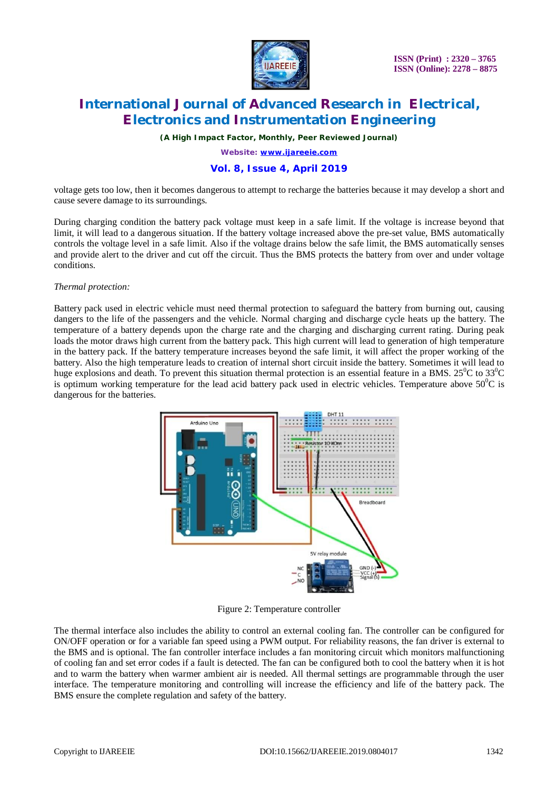

# **International Journal of Advanced Research in Electrical, Electronics and Instrumentation Engineering**

*(A High Impact Factor, Monthly, Peer Reviewed Journal)*

*Website:* **[www.ijareeie.com](http://www.ijareeie.com)**

# **Vol. 8, Issue 4, April 2019**

voltage gets too low, then it becomes dangerous to attempt to recharge the batteries because it may develop a short and cause severe damage to its surroundings.

During charging condition the battery pack voltage must keep in a safe limit. If the voltage is increase beyond that limit, it will lead to a dangerous situation. If the battery voltage increased above the pre-set value, BMS automatically controls the voltage level in a safe limit. Also if the voltage drains below the safe limit, the BMS automatically senses and provide alert to the driver and cut off the circuit. Thus the BMS protects the battery from over and under voltage conditions.

#### *Thermal protection:*

Battery pack used in electric vehicle must need thermal protection to safeguard the battery from burning out, causing dangers to the life of the passengers and the vehicle. Normal charging and discharge cycle heats up the battery. The temperature of a battery depends upon the charge rate and the charging and discharging current rating. During peak loads the motor draws high current from the battery pack. This high current will lead to generation of high temperature in the battery pack. If the battery temperature increases beyond the safe limit, it will affect the proper working of the battery. Also the high temperature leads to creation of internal short circuit inside the battery. Sometimes it will lead to huge explosions and death. To prevent this situation thermal protection is an essential feature in a BMS.  $25^{\circ}$ C to  $33^{\circ}$ C is optimum working temperature for the lead acid battery pack used in electric vehicles. Temperature above  $50^0C$  is dangerous for the batteries.



Figure 2: Temperature controller

The thermal interface also includes the ability to control an external cooling fan. The controller can be configured for ON/OFF operation or for a variable fan speed using a PWM output. For reliability reasons, the fan driver is external to the BMS and is optional. The fan controller interface includes a fan monitoring circuit which monitors malfunctioning of cooling fan and set error codes if a fault is detected. The fan can be configured both to cool the battery when it is hot and to warm the battery when warmer ambient air is needed. All thermal settings are programmable through the user interface. The temperature monitoring and controlling will increase the efficiency and life of the battery pack. The BMS ensure the complete regulation and safety of the battery.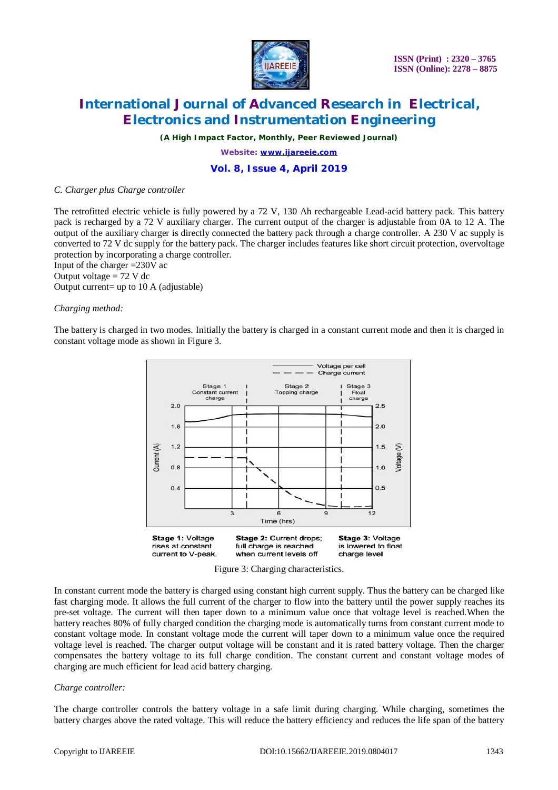

# **International Journal of Advanced Research in Electrical, Electronics and Instrumentation Engineering**

*(A High Impact Factor, Monthly, Peer Reviewed Journal)*

*Website:* **[www.ijareeie.com](http://www.ijareeie.com)**

### **Vol. 8, Issue 4, April 2019**

#### *C. Charger plus Charge controller*

The retrofitted electric vehicle is fully powered by a 72 V, 130 Ah rechargeable Lead-acid battery pack. This battery pack is recharged by a 72 V auxiliary charger. The current output of the charger is adjustable from 0A to 12 A. The output of the auxiliary charger is directly connected the battery pack through a charge controller. A 230 V ac supply is converted to 72 V dc supply for the battery pack. The charger includes features like short circuit protection, overvoltage protection by incorporating a charge controller.

Input of the charger =230V ac Output voltage  $= 72$  V dc Output current= up to 10 A (adjustable)

#### *Charging method:*

The battery is charged in two modes. Initially the battery is charged in a constant current mode and then it is charged in constant voltage mode as shown in Figure 3.





In constant current mode the battery is charged using constant high current supply. Thus the battery can be charged like fast charging mode. It allows the full current of the charger to flow into the battery until the power supply reaches its pre-set voltage. The current will then taper down to a minimum value once that voltage level is reached.When the battery reaches 80% of fully charged condition the charging mode is automatically turns from constant current mode to constant voltage mode. In constant voltage mode the current will taper down to a minimum value once the required voltage level is reached. The charger output voltage will be constant and it is rated battery voltage. Then the charger compensates the battery voltage to its full charge condition. The constant current and constant voltage modes of charging are much efficient for lead acid battery charging.

#### *Charge controller:*

The charge controller controls the battery voltage in a safe limit during charging. While charging, sometimes the battery charges above the rated voltage. This will reduce the battery efficiency and reduces the life span of the battery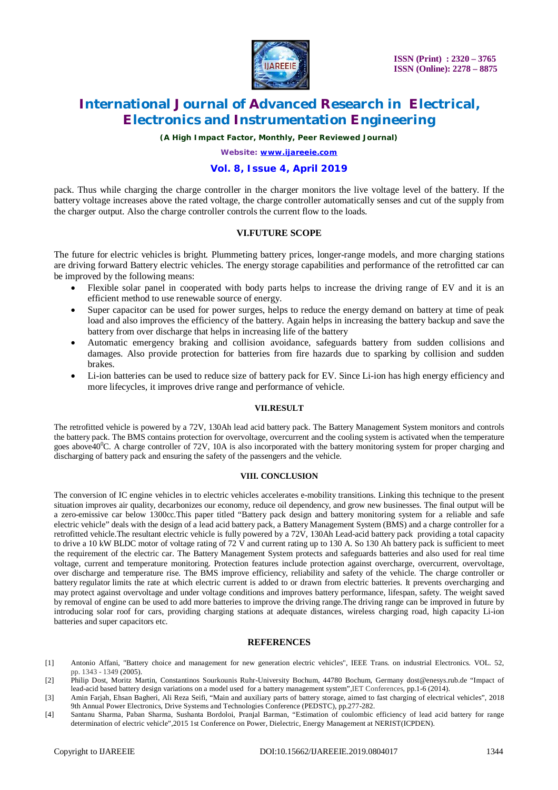

# **International Journal of Advanced Research in Electrical, Electronics and Instrumentation Engineering**

*(A High Impact Factor, Monthly, Peer Reviewed Journal)*

*Website:* **[www.ijareeie.com](http://www.ijareeie.com)**

### **Vol. 8, Issue 4, April 2019**

pack. Thus while charging the charge controller in the charger monitors the live voltage level of the battery. If the battery voltage increases above the rated voltage, the charge controller automatically senses and cut of the supply from the charger output. Also the charge controller controls the current flow to the loads.

### **VI.FUTURE SCOPE**

The future for electric vehicles is bright*.* Plummeting battery prices, longer-range models, and more charging stations are driving forward Battery electric vehicles. The energy storage capabilities and performance of the retrofitted car can be improved by the following means:

- Flexible solar panel in cooperated with body parts helps to increase the driving range of EV and it is an efficient method to use renewable source of energy.
- Super capacitor can be used for power surges, helps to reduce the energy demand on battery at time of peak load and also improves the efficiency of the battery. Again helps in increasing the battery backup and save the battery from over discharge that helps in increasing life of the battery
- Automatic emergency braking and collision avoidance, safeguards battery from sudden collisions and damages. Also provide protection for batteries from fire hazards due to sparking by collision and sudden brakes.
- Li-ion batteries can be used to reduce size of battery pack for EV. Since Li-ion has high energy efficiency and more lifecycles, it improves drive range and performance of vehicle.

#### **VII.RESULT**

The retrofitted vehicle is powered by a 72V, 130Ah lead acid battery pack. The Battery Management System monitors and controls the battery pack. The BMS contains protection for overvoltage, overcurrent and the cooling system is activated when the temperature goes above $40^{\circ}$ C. A charge controller of 72V, 10A is also incorporated with the battery monitoring system for proper charging and discharging of battery pack and ensuring the safety of the passengers and the vehicle.

#### **VIII. CONCLUSION**

The conversion of IC engine vehicles in to electric vehicles accelerates e-mobility transitions. Linking this technique to the present situation improves air quality, decarbonizes our economy, reduce oil dependency, and grow new businesses. The final output will be a zero-emissive car below 1300cc.This paper titled "Battery pack design and battery monitoring system for a reliable and safe electric vehicle" deals with the design of a lead acid battery pack, a Battery Management System (BMS) and a charge controller for a retrofitted vehicle.The resultant electric vehicle is fully powered by a 72V, 130Ah Lead-acid battery pack providing a total capacity to drive a 10 kW BLDC motor of voltage rating of 72 V and current rating up to 130 A. So 130 Ah battery pack is sufficient to meet the requirement of the electric car. The Battery Management System protects and safeguards batteries and also used for real time voltage, current and temperature monitoring. Protection features include protection against overcharge, overcurrent, overvoltage, over discharge and temperature rise. The BMS improve efficiency, reliability and safety of the vehicle. The charge controller or battery regulator limits the rate at which electric current is added to or drawn from electric batteries. It prevents overcharging and may protect against overvoltage and under voltage conditions and improves battery performance, lifespan, safety. The weight saved by removal of engine can be used to add more batteries to improve the driving range.The driving range can be improved in future by introducing solar roof for cars, providing charging stations at adequate distances, wireless charging road, high capacity Li-ion batteries and super capacitors etc.

#### **REFERENCES**

- [1] Antonio Affani, "Battery choice and management for new generation electric vehicles", IEEE Trans. on industrial Electronics. VOL. 52, pp. 1343 - 1349 (2005).
- [2] Philip Dost, Moritz Martin, Constantinos Sourkounis Ruhr-University Bochum, 44780 Bochum, Germany [dost@enesys.rub.de](mailto:dost@enesys.rub.de) "Impact of lead-acid based battery design variations on a model used for a battery management system",IET Conferences, pp.1-6 (2014).
- [3] Amin Farjah, Ehsan Bagheri, Ali Reza Seifi, "Main and auxiliary parts of battery storage, aimed to fast charging of electrical vehicles", 2018 9th Annual Power Electronics, Drive Systems and Technologies Conference (PEDSTC), pp.277-282.
- [4] Santanu Sharma, Paban Sharma, Sushanta Bordoloi, Pranjal Barman, "Estimation of coulombic efficiency of lead acid battery for range determination of electric vehicle",2015 1st Conference on Power, Dielectric, Energy Management at NERIST(ICPDEN).